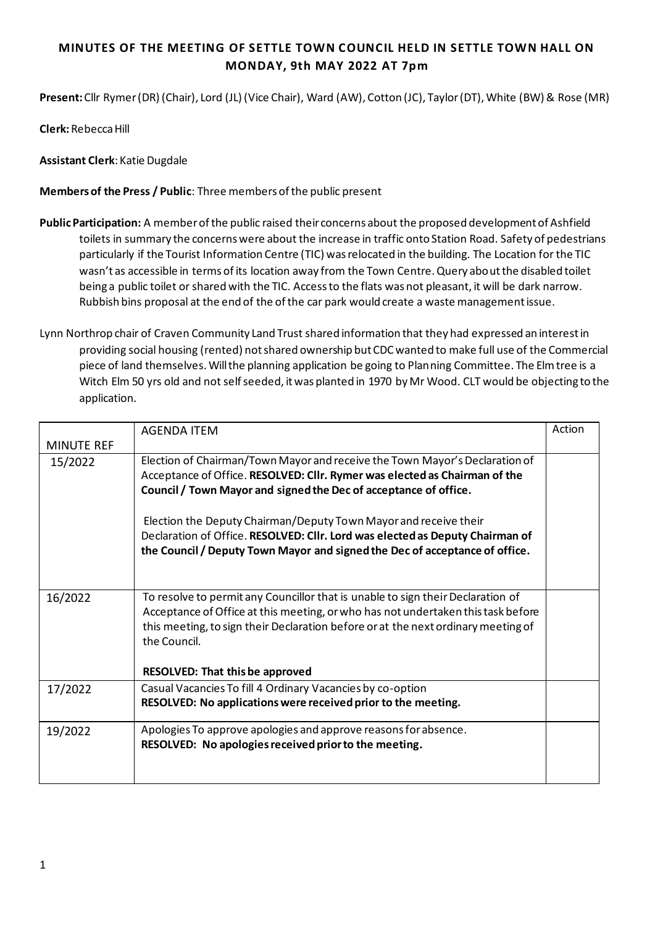## **MINUTES OF THE MEETING OF SETTLE TOWN COUNCIL HELD IN SETTLE TOWN HALL ON MONDAY, 9th MAY 2022 AT 7pm**

**Present:** Cllr Rymer (DR) (Chair), Lord (JL) (Vice Chair), Ward (AW), Cotton (JC), Taylor (DT), White (BW) & Rose (MR)

**Clerk:** Rebecca Hill

**Assistant Clerk**: Katie Dugdale

**Members of the Press / Public**: Three members of the public present

- **Public Participation:** A member of the public raised their concerns about the proposed development of Ashfield toilets in summary the concerns were about the increase in traffic onto Station Road. Safety of pedestrians particularly if the Tourist Information Centre (TIC) was relocated in the building. The Location for the TIC wasn't as accessible in terms of its location away from the Town Centre. Query about the disabled toilet being a public toilet or shared with the TIC. Access to the flats was not pleasant, it will be dark narrow. Rubbish bins proposal at the end of the of the car park would create a waste management issue.
- Lynn Northrop chair of Craven Community Land Trust shared information that they had expressed an interest in providing social housing (rented) not shared ownership but CDC wanted to make full use of the Commercial piece of land themselves. Will the planning application be going to Planning Committee. The Elm tree is a Witch Elm 50 yrs old and not self seeded, it was planted in 1970 by Mr Wood. CLT would be objecting to the application.

|                   | <b>AGENDA ITEM</b>                                                                                                                                                                                                                                                                                                 | Action |
|-------------------|--------------------------------------------------------------------------------------------------------------------------------------------------------------------------------------------------------------------------------------------------------------------------------------------------------------------|--------|
| <b>MINUTE REF</b> |                                                                                                                                                                                                                                                                                                                    |        |
| 15/2022           | Election of Chairman/Town Mayor and receive the Town Mayor's Declaration of<br>Acceptance of Office. RESOLVED: Cllr. Rymer was elected as Chairman of the<br>Council / Town Mayor and signed the Dec of acceptance of office.<br>Election the Deputy Chairman/Deputy Town Mayor and receive their                  |        |
|                   | Declaration of Office. RESOLVED: Cllr. Lord was elected as Deputy Chairman of<br>the Council / Deputy Town Mayor and signed the Dec of acceptance of office.                                                                                                                                                       |        |
| 16/2022           | To resolve to permit any Councillor that is unable to sign their Declaration of<br>Acceptance of Office at this meeting, or who has not undertaken this task before<br>this meeting, to sign their Declaration before or at the next ordinary meeting of<br>the Council.<br><b>RESOLVED: That this be approved</b> |        |
| 17/2022           | Casual Vacancies To fill 4 Ordinary Vacancies by co-option<br>RESOLVED: No applications were received prior to the meeting.                                                                                                                                                                                        |        |
| 19/2022           | Apologies To approve apologies and approve reasons for absence.<br>RESOLVED: No apologies received prior to the meeting.                                                                                                                                                                                           |        |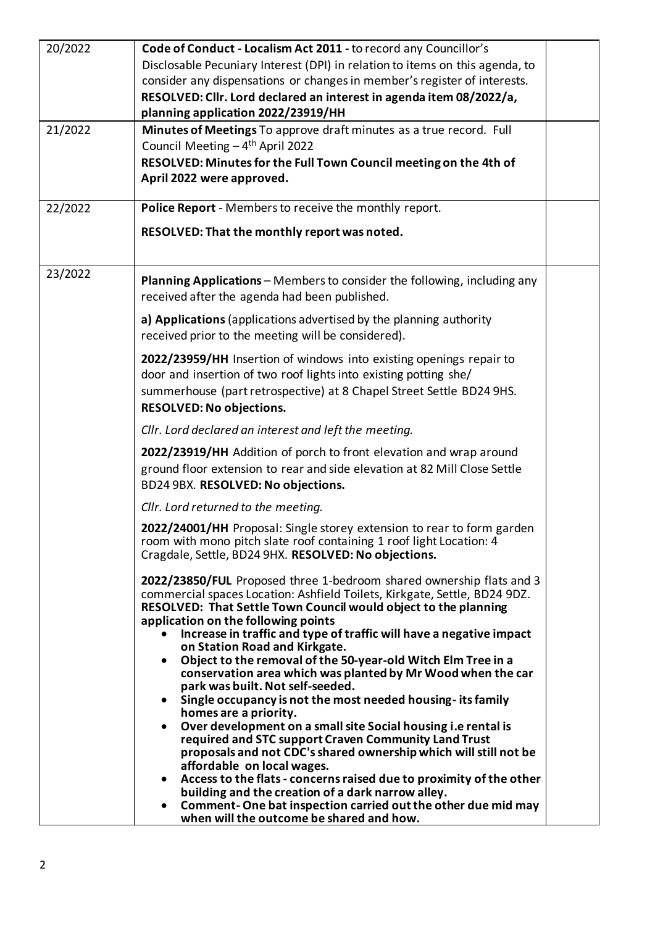| 20/2022 | Code of Conduct - Localism Act 2011 - to record any Councillor's                                                            |  |
|---------|-----------------------------------------------------------------------------------------------------------------------------|--|
|         | Disclosable Pecuniary Interest (DPI) in relation to items on this agenda, to                                                |  |
|         | consider any dispensations or changes in member's register of interests.                                                    |  |
|         | RESOLVED: Cllr. Lord declared an interest in agenda item 08/2022/a,                                                         |  |
|         | planning application 2022/23919/HH                                                                                          |  |
| 21/2022 | Minutes of Meetings To approve draft minutes as a true record. Full                                                         |  |
|         | Council Meeting - 4 <sup>th</sup> April 2022                                                                                |  |
|         | RESOLVED: Minutes for the Full Town Council meeting on the 4th of                                                           |  |
|         | April 2022 were approved.                                                                                                   |  |
|         |                                                                                                                             |  |
| 22/2022 | Police Report - Members to receive the monthly report.                                                                      |  |
|         | RESOLVED: That the monthly report was noted.                                                                                |  |
|         |                                                                                                                             |  |
|         |                                                                                                                             |  |
| 23/2022 | Planning Applications - Members to consider the following, including any                                                    |  |
|         | received after the agenda had been published.                                                                               |  |
|         |                                                                                                                             |  |
|         | a) Applications (applications advertised by the planning authority                                                          |  |
|         | received prior to the meeting will be considered).                                                                          |  |
|         | 2022/23959/HH Insertion of windows into existing openings repair to                                                         |  |
|         | door and insertion of two roof lights into existing potting she/                                                            |  |
|         | summerhouse (part retrospective) at 8 Chapel Street Settle BD24 9HS.                                                        |  |
|         | <b>RESOLVED: No objections.</b>                                                                                             |  |
|         | Cllr. Lord declared an interest and left the meeting.                                                                       |  |
|         | 2022/23919/HH Addition of porch to front elevation and wrap around                                                          |  |
|         | ground floor extension to rear and side elevation at 82 Mill Close Settle                                                   |  |
|         | BD24 9BX. RESOLVED: No objections.                                                                                          |  |
|         |                                                                                                                             |  |
|         | Cllr. Lord returned to the meeting.                                                                                         |  |
|         | 2022/24001/HH Proposal: Single storey extension to rear to form garden                                                      |  |
|         | room with mono pitch slate roof containing 1 roof light Location: 4<br>Cragdale, Settle, BD24 9HX. RESOLVED: No objections. |  |
|         |                                                                                                                             |  |
|         | 2022/23850/FUL Proposed three 1-bedroom shared ownership flats and 3                                                        |  |
|         | commercial spaces Location: Ashfield Toilets, Kirkgate, Settle, BD24 9DZ.                                                   |  |
|         | RESOLVED: That Settle Town Council would object to the planning                                                             |  |
|         | application on the following points<br>Increase in traffic and type of traffic will have a negative impact                  |  |
|         | on Station Road and Kirkgate.                                                                                               |  |
|         | Object to the removal of the 50-year-old Witch Elm Tree in a<br>$\bullet$                                                   |  |
|         | conservation area which was planted by Mr Wood when the car<br>park was built. Not self-seeded.                             |  |
|         | Single occupancy is not the most needed housing-its family<br>٠                                                             |  |
|         | homes are a priority.                                                                                                       |  |
|         | Over development on a small site Social housing i.e rental is<br>$\bullet$                                                  |  |
|         | required and STC support Craven Community Land Trust                                                                        |  |
|         | proposals and not CDC's shared ownership which will still not be<br>affordable on local wages.                              |  |
|         | Access to the flats - concerns raised due to proximity of the other<br>٠                                                    |  |
|         | building and the creation of a dark narrow alley.                                                                           |  |
|         | Comment-One bat inspection carried out the other due mid may<br>$\bullet$                                                   |  |
|         | when will the outcome be shared and how.                                                                                    |  |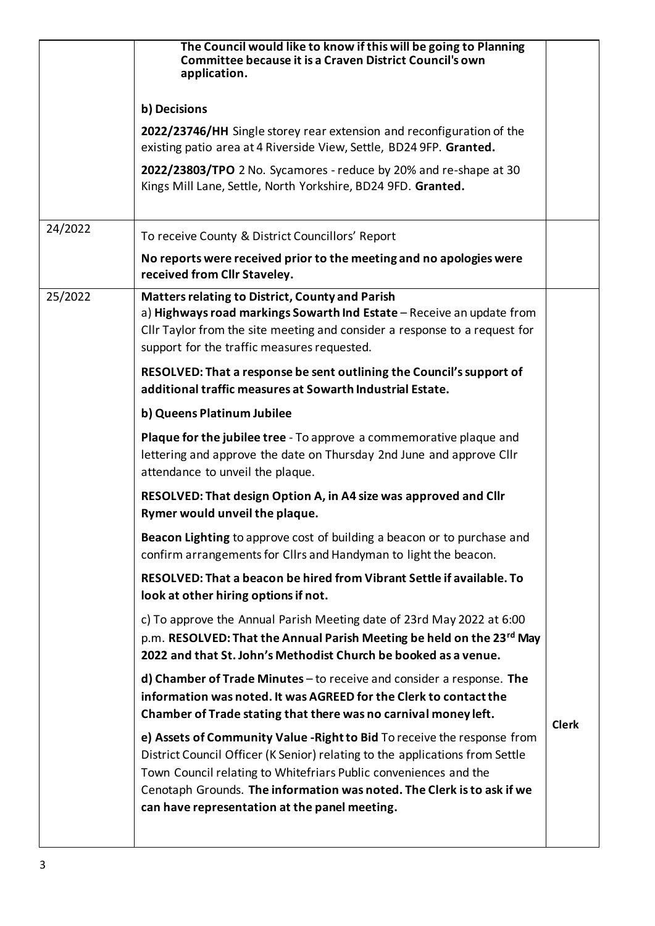|         | The Council would like to know if this will be going to Planning<br><b>Committee because it is a Craven District Council's own</b><br>application.                                                                                                                                                                                                      |              |
|---------|---------------------------------------------------------------------------------------------------------------------------------------------------------------------------------------------------------------------------------------------------------------------------------------------------------------------------------------------------------|--------------|
|         | b) Decisions                                                                                                                                                                                                                                                                                                                                            |              |
|         | 2022/23746/HH Single storey rear extension and reconfiguration of the<br>existing patio area at 4 Riverside View, Settle, BD24 9FP. Granted.                                                                                                                                                                                                            |              |
|         | 2022/23803/TPO 2 No. Sycamores - reduce by 20% and re-shape at 30<br>Kings Mill Lane, Settle, North Yorkshire, BD24 9FD. Granted.                                                                                                                                                                                                                       |              |
| 24/2022 | To receive County & District Councillors' Report                                                                                                                                                                                                                                                                                                        |              |
|         | No reports were received prior to the meeting and no apologies were<br>received from Cllr Staveley.                                                                                                                                                                                                                                                     |              |
| 25/2022 | <b>Matters relating to District, County and Parish</b><br>a) Highways road markings Sowarth Ind Estate - Receive an update from<br>Cllr Taylor from the site meeting and consider a response to a request for<br>support for the traffic measures requested.                                                                                            |              |
|         | RESOLVED: That a response be sent outlining the Council's support of<br>additional traffic measures at Sowarth Industrial Estate.                                                                                                                                                                                                                       |              |
|         | b) Queens Platinum Jubilee                                                                                                                                                                                                                                                                                                                              |              |
|         | <b>Plaque for the jubilee tree</b> - To approve a commemorative plaque and<br>lettering and approve the date on Thursday 2nd June and approve Cllr<br>attendance to unveil the plaque.                                                                                                                                                                  |              |
|         | RESOLVED: That design Option A, in A4 size was approved and Cllr<br>Rymer would unveil the plaque.                                                                                                                                                                                                                                                      |              |
|         | Beacon Lighting to approve cost of building a beacon or to purchase and<br>confirm arrangements for Cllrs and Handyman to light the beacon.                                                                                                                                                                                                             |              |
|         | RESOLVED: That a beacon be hired from Vibrant Settle if available. To<br>look at other hiring options if not.                                                                                                                                                                                                                                           |              |
|         | c) To approve the Annual Parish Meeting date of 23rd May 2022 at 6:00<br>p.m. RESOLVED: That the Annual Parish Meeting be held on the 23rd May<br>2022 and that St. John's Methodist Church be booked as a venue.                                                                                                                                       |              |
|         | $d)$ Chamber of Trade Minutes – to receive and consider a response. The<br>information was noted. It was AGREED for the Clerk to contact the<br>Chamber of Trade stating that there was no carnival money left.                                                                                                                                         |              |
|         | e) Assets of Community Value - Right to Bid To receive the response from<br>District Council Officer (K Senior) relating to the applications from Settle<br>Town Council relating to Whitefriars Public conveniences and the<br>Cenotaph Grounds. The information was noted. The Clerk is to ask if we<br>can have representation at the panel meeting. | <b>Clerk</b> |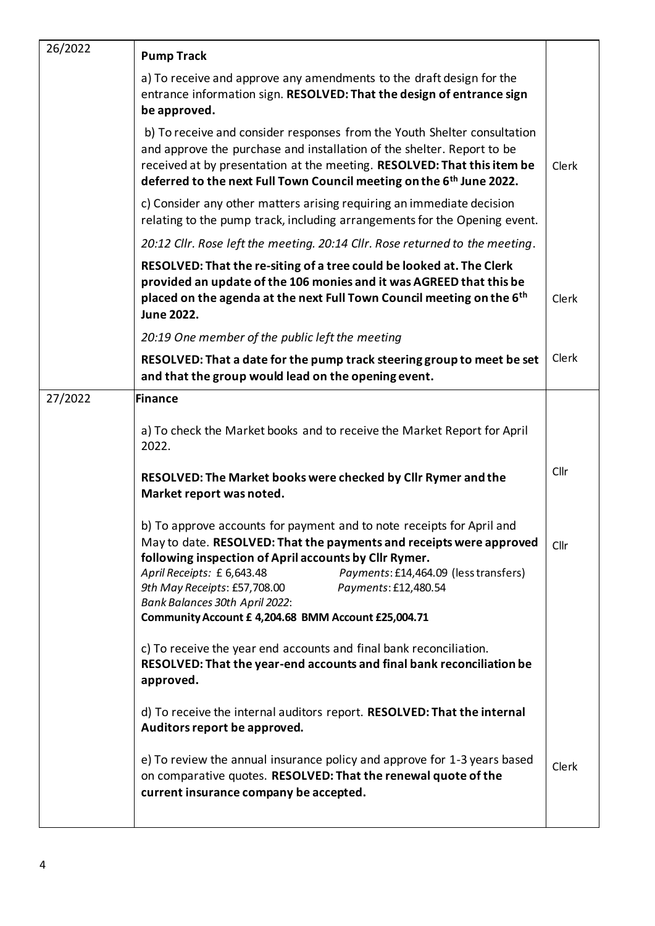| 26/2022 | <b>Pump Track</b>                                                                                                                                                                                                                                                                                                                                                                                                             |       |
|---------|-------------------------------------------------------------------------------------------------------------------------------------------------------------------------------------------------------------------------------------------------------------------------------------------------------------------------------------------------------------------------------------------------------------------------------|-------|
|         | a) To receive and approve any amendments to the draft design for the<br>entrance information sign. RESOLVED: That the design of entrance sign<br>be approved.                                                                                                                                                                                                                                                                 |       |
|         | b) To receive and consider responses from the Youth Shelter consultation<br>and approve the purchase and installation of the shelter. Report to be<br>received at by presentation at the meeting. RESOLVED: That this item be<br>deferred to the next Full Town Council meeting on the 6 <sup>th</sup> June 2022.                                                                                                             | Clerk |
|         | c) Consider any other matters arising requiring an immediate decision<br>relating to the pump track, including arrangements for the Opening event.                                                                                                                                                                                                                                                                            |       |
|         | 20:12 Cllr. Rose left the meeting. 20:14 Cllr. Rose returned to the meeting.                                                                                                                                                                                                                                                                                                                                                  |       |
|         | RESOLVED: That the re-siting of a tree could be looked at. The Clerk<br>provided an update of the 106 monies and it was AGREED that this be<br>placed on the agenda at the next Full Town Council meeting on the 6 <sup>th</sup><br><b>June 2022.</b>                                                                                                                                                                         | Clerk |
|         | 20:19 One member of the public left the meeting                                                                                                                                                                                                                                                                                                                                                                               |       |
|         | RESOLVED: That a date for the pump track steering group to meet be set<br>and that the group would lead on the opening event.                                                                                                                                                                                                                                                                                                 | Clerk |
| 27/2022 | <b>Finance</b>                                                                                                                                                                                                                                                                                                                                                                                                                |       |
|         | a) To check the Market books and to receive the Market Report for April<br>2022.                                                                                                                                                                                                                                                                                                                                              |       |
|         | RESOLVED: The Market books were checked by Cllr Rymer and the<br>Market report was noted.                                                                                                                                                                                                                                                                                                                                     | Cllr  |
|         | b) To approve accounts for payment and to note receipts for April and<br>May to date. RESOLVED: That the payments and receipts were approved<br>following inspection of April accounts by Cllr Rymer.<br>April Receipts: £ 6,643.48<br>Payments: £14,464.09 (less transfers)<br>9th May Receipts: £57,708.00<br>Payments: £12,480.54<br>Bank Balances 30th April 2022:<br>Community Account £ 4,204.68 BMM Account £25,004.71 | Cllr  |
|         | c) To receive the year end accounts and final bank reconciliation.<br>RESOLVED: That the year-end accounts and final bank reconciliation be<br>approved.                                                                                                                                                                                                                                                                      |       |
|         | d) To receive the internal auditors report. RESOLVED: That the internal<br>Auditors report be approved.                                                                                                                                                                                                                                                                                                                       |       |
|         | e) To review the annual insurance policy and approve for 1-3 years based<br>on comparative quotes. RESOLVED: That the renewal quote of the<br>current insurance company be accepted.                                                                                                                                                                                                                                          | Clerk |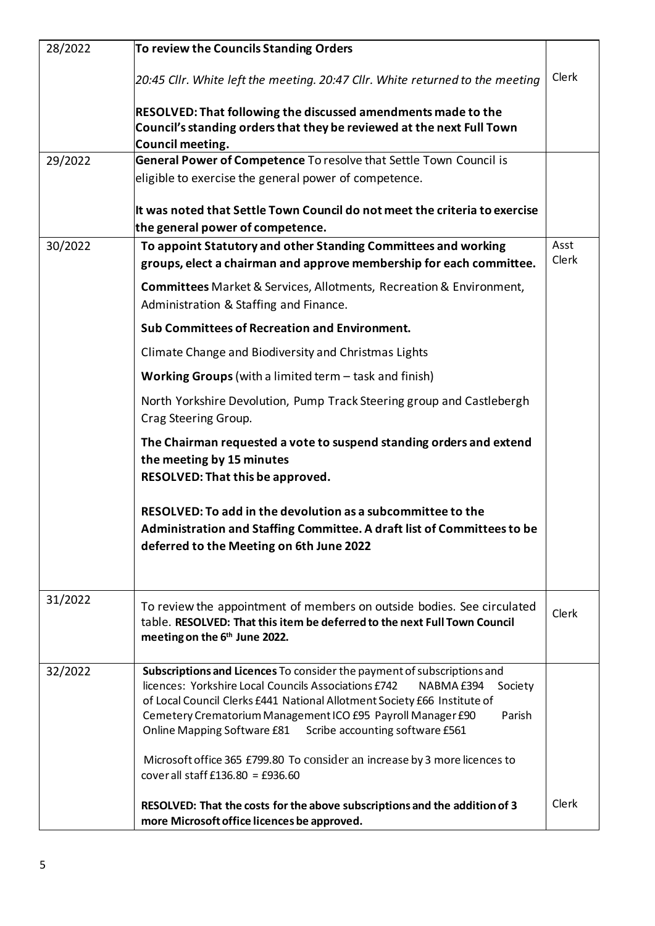| 28/2022 | To review the Councils Standing Orders                                                                                                                                               |       |
|---------|--------------------------------------------------------------------------------------------------------------------------------------------------------------------------------------|-------|
|         | 20:45 Cllr. White left the meeting. 20:47 Cllr. White returned to the meeting                                                                                                        | Clerk |
|         | RESOLVED: That following the discussed amendments made to the                                                                                                                        |       |
|         | Council's standing orders that they be reviewed at the next Full Town                                                                                                                |       |
|         | Council meeting.                                                                                                                                                                     |       |
| 29/2022 | General Power of Competence To resolve that Settle Town Council is                                                                                                                   |       |
|         | eligible to exercise the general power of competence.                                                                                                                                |       |
|         | It was noted that Settle Town Council do not meet the criteria to exercise                                                                                                           |       |
|         | the general power of competence.                                                                                                                                                     |       |
| 30/2022 | To appoint Statutory and other Standing Committees and working                                                                                                                       | Asst  |
|         | groups, elect a chairman and approve membership for each committee.                                                                                                                  | Clerk |
|         | Committees Market & Services, Allotments, Recreation & Environment,<br>Administration & Staffing and Finance.                                                                        |       |
|         | Sub Committees of Recreation and Environment.                                                                                                                                        |       |
|         | Climate Change and Biodiversity and Christmas Lights                                                                                                                                 |       |
|         | <b>Working Groups</b> (with a limited term $-$ task and finish)                                                                                                                      |       |
|         | North Yorkshire Devolution, Pump Track Steering group and Castlebergh<br>Crag Steering Group.                                                                                        |       |
|         | The Chairman requested a vote to suspend standing orders and extend                                                                                                                  |       |
|         | the meeting by 15 minutes                                                                                                                                                            |       |
|         | RESOLVED: That this be approved.                                                                                                                                                     |       |
|         | RESOLVED: To add in the devolution as a subcommittee to the                                                                                                                          |       |
|         | Administration and Staffing Committee. A draft list of Committees to be                                                                                                              |       |
|         | deferred to the Meeting on 6th June 2022                                                                                                                                             |       |
|         |                                                                                                                                                                                      |       |
| 31/2022 | To review the appointment of members on outside bodies. See circulated<br>table. RESOLVED: That this item be deferred to the next Full Town Council<br>meeting on the 6th June 2022. | Clerk |
| 32/2022 | Subscriptions and Licences To consider the payment of subscriptions and                                                                                                              |       |
|         | licences: Yorkshire Local Councils Associations £742<br>NABMA £394<br>Society<br>of Local Council Clerks £441 National Allotment Society £66 Institute of                            |       |
|         | Cemetery Crematorium Management ICO £95 Payroll Manager £90<br>Parish                                                                                                                |       |
|         | Online Mapping Software £81<br>Scribe accounting software £561                                                                                                                       |       |
|         | Microsoft office 365 £799.80 To consider an increase by 3 more licences to                                                                                                           |       |
|         | cover all staff £136.80 = £936.60                                                                                                                                                    |       |
|         | RESOLVED: That the costs for the above subscriptions and the addition of 3                                                                                                           | Clerk |
|         | more Microsoft office licences be approved.                                                                                                                                          |       |